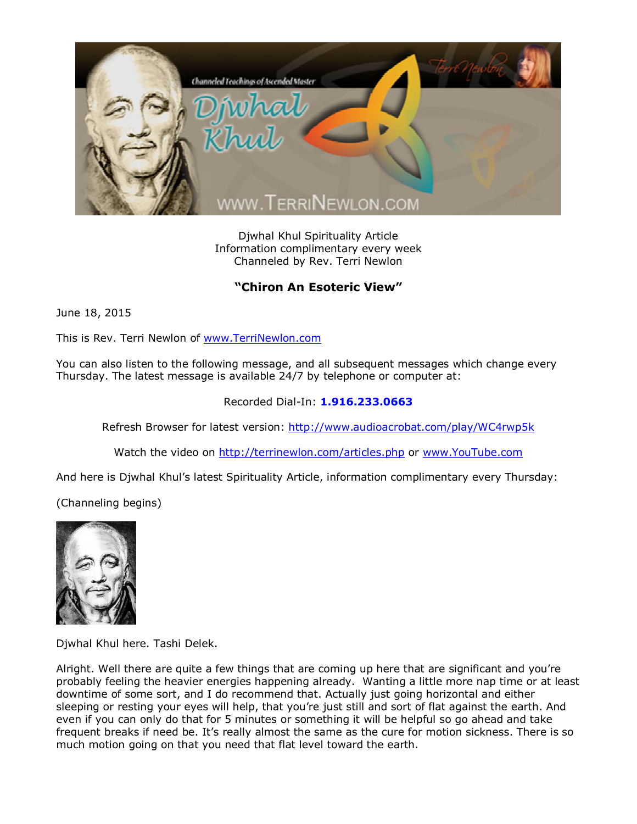

Djwhal Khul Spirituality Article Information complimentary every week Channeled by Rev. Terri Newlon

## **"Chiron An Esoteric View"**

June 18, 2015

This is Rev. Terri Newlon of [www.TerriNewlon.com](http://www.terrinewlon.com/)

You can also listen to the following message, and all subsequent messages which change every Thursday. The latest message is available 24/7 by telephone or computer at:

## Recorded Dial-In: **1.916.233.0663**

Refresh Browser for latest version: <http://www.audioacrobat.com/play/WC4rwp5k>

Watch the video on <http://terrinewlon.com/articles.php> or [www.YouTube.com](http://www.youtube.com/)

And here is Djwhal Khul's latest Spirituality Article, information complimentary every Thursday:

(Channeling begins)



Djwhal Khul here. Tashi Delek.

Alright. Well there are quite a few things that are coming up here that are significant and you're probably feeling the heavier energies happening already. Wanting a little more nap time or at least downtime of some sort, and I do recommend that. Actually just going horizontal and either sleeping or resting your eyes will help, that you're just still and sort of flat against the earth. And even if you can only do that for 5 minutes or something it will be helpful so go ahead and take frequent breaks if need be. It's really almost the same as the cure for motion sickness. There is so much motion going on that you need that flat level toward the earth.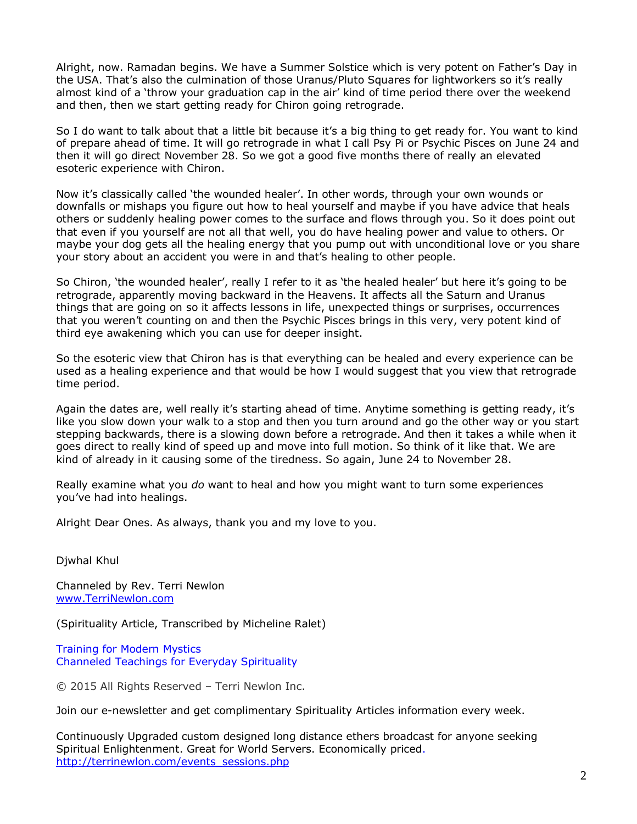Alright, now. Ramadan begins. We have a Summer Solstice which is very potent on Father's Day in the USA. That's also the culmination of those Uranus/Pluto Squares for lightworkers so it's really almost kind of a 'throw your graduation cap in the air' kind of time period there over the weekend and then, then we start getting ready for Chiron going retrograde.

So I do want to talk about that a little bit because it's a big thing to get ready for. You want to kind of prepare ahead of time. It will go retrograde in what I call Psy Pi or Psychic Pisces on June 24 and then it will go direct November 28. So we got a good five months there of really an elevated esoteric experience with Chiron.

Now it's classically called 'the wounded healer'. In other words, through your own wounds or downfalls or mishaps you figure out how to heal yourself and maybe if you have advice that heals others or suddenly healing power comes to the surface and flows through you. So it does point out that even if you yourself are not all that well, you do have healing power and value to others. Or maybe your dog gets all the healing energy that you pump out with unconditional love or you share your story about an accident you were in and that's healing to other people.

So Chiron, 'the wounded healer', really I refer to it as 'the healed healer' but here it's going to be retrograde, apparently moving backward in the Heavens. It affects all the Saturn and Uranus things that are going on so it affects lessons in life, unexpected things or surprises, occurrences that you weren't counting on and then the Psychic Pisces brings in this very, very potent kind of third eye awakening which you can use for deeper insight.

So the esoteric view that Chiron has is that everything can be healed and every experience can be used as a healing experience and that would be how I would suggest that you view that retrograde time period.

Again the dates are, well really it's starting ahead of time. Anytime something is getting ready, it's like you slow down your walk to a stop and then you turn around and go the other way or you start stepping backwards, there is a slowing down before a retrograde. And then it takes a while when it goes direct to really kind of speed up and move into full motion. So think of it like that. We are kind of already in it causing some of the tiredness. So again, June 24 to November 28.

Really examine what you *do* want to heal and how you might want to turn some experiences you've had into healings.

Alright Dear Ones. As always, thank you and my love to you.

Djwhal Khul

Channeled by Rev. Terri Newlon [www.TerriNewlon.com](http://www.terrinewlon.com/)

(Spirituality Article, Transcribed by Micheline Ralet)

Training for Modern Mystics [Channeled Teachings for Everyday Spirituality](http://www.terrinewlon.com/)

© 2015 All Rights Reserved – Terri Newlon Inc.

Join our e-newsletter and get complimentary Spirituality Articles information every week.

Continuously Upgraded custom designed long distance ethers broadcast for anyone seeking Spiritual Enlightenment. Great for World Servers. Economically priced. http://terrinewlon.com/events\_sessions.php